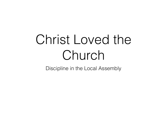# Christ Loved the Church

Discipline in the Local Assembly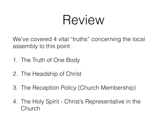## Review

We've covered 4 vital "truths" concerning the local assembly to this point

- 1. The Truth of One Body
- 2. The Headship of Christ
- 3. The Reception Policy (Church Membership)
- 4. The Holy Spirit Christ's Representative in the Church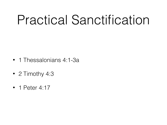## Practical Sanctification

- 1 Thessalonians 4:1-3a
- 2 Timothy 4:3
- 1 Peter 4:17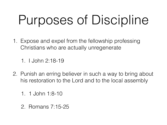# Purposes of Discipline

1. Expose and expel from the fellowship professing Christians who are actually unregenerate

1. I John 2:18-19

- 2. Punish an erring believer in such a way to bring about his restoration to the Lord and to the local assembly
	- 1. 1 John 1:8-10
	- 2. Romans 7:15-25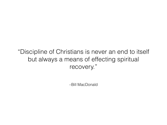"Discipline of Christians is never an end to itself but always a means of effecting spiritual recovery."

–Bill MacDonald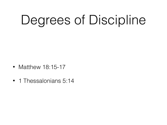# Degrees of Discipline

- Matthew 18:15-17
- 1 Thessalonians 5:14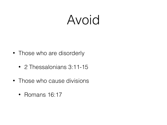### Avoid

- Those who are disorderly
	- 2 Thessalonians 3:11-15
- Those who cause divisions
	- Romans 16:17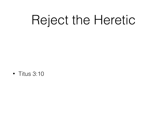# Reject the Heretic

• Titus 3:10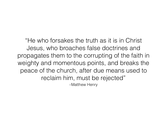"He who forsakes the truth as it is in Christ Jesus, who broaches false doctrines and propagates them to the corrupting of the faith in weighty and momentous points, and breaks the peace of the church, after due means used to reclaim him, must be rejected"

–Matthew Henry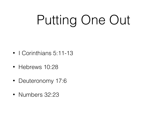# Putting One Out

- I Corinthians 5:11-13
- Hebrews 10:28
- Deuteronomy 17:6
- Numbers 32:23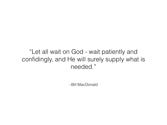#### "Let all wait on God - wait patiently and confidingly, and He will surely supply what is needed."

–Bill MacDonald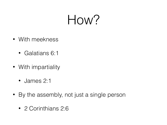## How?

- With meekness
	- Galatians 6:1
- With impartiality
	- James 2:1
- By the assembly, not just a single person
	- 2 Corinthians 2:6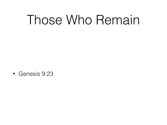## Those Who Remain

• Genesis 9:23